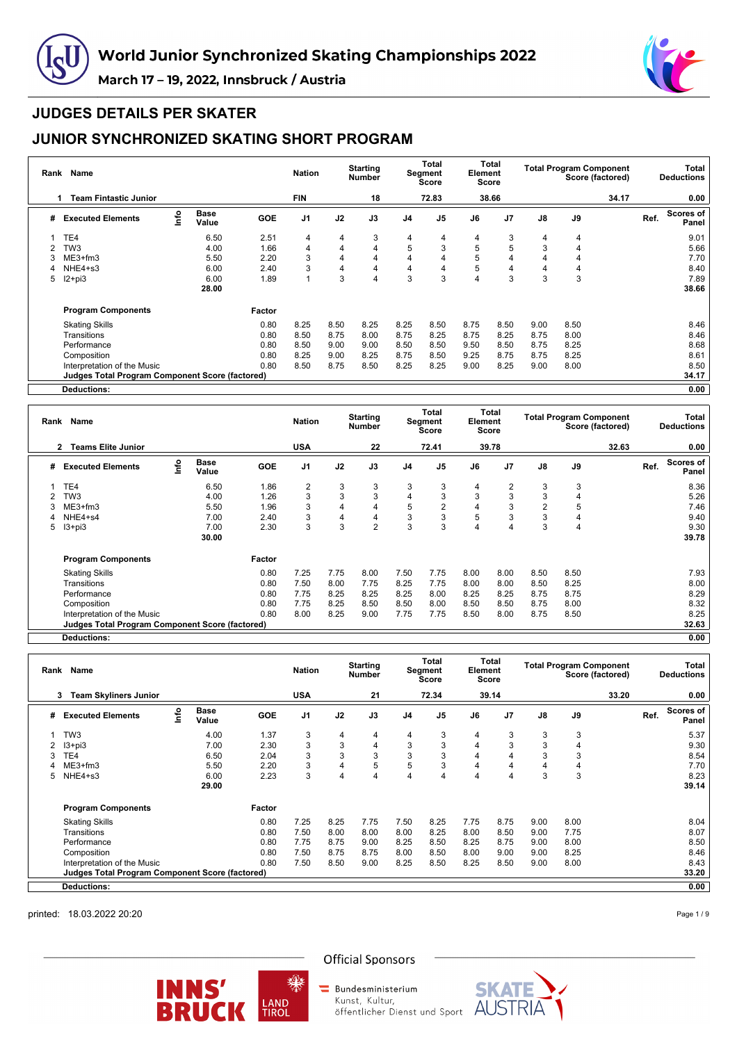



### **JUDGES DETAILS PER SKATER**

## **JUNIOR SYNCHRONIZED SKATING SHORT PROGRAM**

| Rank | Name                                            |      |                      |            | <b>Nation</b>  |      | <b>Starting</b><br><b>Number</b> |                | Total<br>Segment<br>Score | Element | Total<br>Score |      | <b>Total Program Component</b> | Score (factored) |      | Total<br><b>Deductions</b> |
|------|-------------------------------------------------|------|----------------------|------------|----------------|------|----------------------------------|----------------|---------------------------|---------|----------------|------|--------------------------------|------------------|------|----------------------------|
|      | <b>Team Fintastic Junior</b>                    |      |                      |            | <b>FIN</b>     |      | 18                               |                | 72.83                     |         | 38.66          |      |                                | 34.17            |      | 0.00                       |
| #    | <b>Executed Elements</b>                        | info | <b>Base</b><br>Value | <b>GOE</b> | J <sub>1</sub> | J2   | J3                               | J <sub>4</sub> | J <sub>5</sub>            | J6      | J <sub>7</sub> | J8   | J9                             |                  | Ref. | Scores of<br>Panel         |
|      | TE4                                             |      | 6.50                 | 2.51       | 4              | 4    | 3                                | 4              | 4                         | 4       | 3              | 4    | 4                              |                  |      | 9.01                       |
|      | TW <sub>3</sub>                                 |      | 4.00                 | 1.66       | $\overline{4}$ | 4    | 4                                | 5              | 3                         | 5       | 5              | 3    | 4                              |                  |      | 5.66                       |
| 3    | ME3+fm3                                         |      | 5.50                 | 2.20       | 3              | 4    | 4                                | 4              | 4                         | 5       |                | 4    | 4                              |                  |      | 7.70                       |
|      | NHE4+s3                                         |      | 6.00                 | 2.40       | 3              | 4    | 4                                | 4              | 4                         | 5       | 4              | 4    | 4                              |                  |      | 8.40                       |
| 5    | $12+pi3$                                        |      | 6.00                 | 1.89       | 1              | 3    | 4                                | 3              | 3                         | 4       | 3              | 3    | 3                              |                  |      | 7.89                       |
|      |                                                 |      | 28.00                |            |                |      |                                  |                |                           |         |                |      |                                |                  |      | 38.66                      |
|      | <b>Program Components</b>                       |      |                      | Factor     |                |      |                                  |                |                           |         |                |      |                                |                  |      |                            |
|      | <b>Skating Skills</b>                           |      |                      | 0.80       | 8.25           | 8.50 | 8.25                             | 8.25           | 8.50                      | 8.75    | 8.50           | 9.00 | 8.50                           |                  |      | 8.46                       |
|      | Transitions                                     |      |                      | 0.80       | 8.50           | 8.75 | 8.00                             | 8.75           | 8.25                      | 8.75    | 8.25           | 8.75 | 8.00                           |                  |      | 8.46                       |
|      | Performance                                     |      |                      | 0.80       | 8.50           | 9.00 | 9.00                             | 8.50           | 8.50                      | 9.50    | 8.50           | 8.75 | 8.25                           |                  |      | 8.68                       |
|      | Composition                                     |      |                      | 0.80       | 8.25           | 9.00 | 8.25                             | 8.75           | 8.50                      | 9.25    | 8.75           | 8.75 | 8.25                           |                  |      | 8.61                       |
|      | Interpretation of the Music                     |      |                      | 0.80       | 8.50           | 8.75 | 8.50                             | 8.25           | 8.25                      | 9.00    | 8.25           | 9.00 | 8.00                           |                  |      | 8.50                       |
|      | Judges Total Program Component Score (factored) |      |                      |            |                |      |                                  |                |                           |         |                |      |                                |                  |      | 34.17                      |
|      | Deductions:                                     |      |                      |            |                |      |                                  |                |                           |         |                |      |                                |                  |      | 0.00                       |

**Rank Name Nation Starting Number Total Segment Score Total Element Score Total Program Component Score (factored) Total Deductions 2 Teams Elite Junior USA 22 72.41 39.78 32.63 0.00 # Executed Elements Info Base Value GOE J1 J2 J3 J4 J5 J6 J7 J8 J9 Ref. Scores of Panel** 1 TE4 6.50 1.86 2 3 3 3 3 4 2 3 3 8.36 2 TW3 4.00 1.26 3 3 3 4 3 3 3 3 4 5.26 3 ME3+fm3 5.50 1.96 3 4 4 5 2 4 3 2 5 7.46 4 NHE4+s4 7.00 2.40 3 4 4 3 3 5 3 3 4 9.40 5 I3+pi3 7.00 2.30 3 3 2 3 3 4 4 3 4 9.30 **30.00 39.78 Program Components Factor** Skating Skills 0.80 7.25 7.75 8.00 7.50 7.75 8.00 8.00 8.50 8.50 7.93 Transitions 0.80 7.50 8.00 7.75 8.25 7.75 8.00 8.00 8.50 8.25 8.00 Performance 0.80 7.75 8.25 8.25 8.25 8.00 8.25 8.25 8.75 8.75 8.29 Composition 0.80 7.75 8.25 8.50 8.50 8.00 8.50 8.50 8.75 8.00 8.32 Interpretation of the Music 0.80 8.00 8.25 9.00 7.75 7.75 8.50 8.00 8.75 8.50 8.25 **Judges Total Program Component Score (factored) 32.63**

**Deductions: 0.00**

| Rank | Name                                                   |      |                      |            | <b>Nation</b>  |      | <b>Starting</b><br><b>Number</b> |                | Total<br>Segment<br><b>Score</b> | Element        | Total<br>Score |               | <b>Total Program Component</b><br>Score (factored) |      | <b>Total</b><br><b>Deductions</b> |
|------|--------------------------------------------------------|------|----------------------|------------|----------------|------|----------------------------------|----------------|----------------------------------|----------------|----------------|---------------|----------------------------------------------------|------|-----------------------------------|
|      | <b>Team Skyliners Junior</b><br>3                      |      |                      |            | <b>USA</b>     |      | 21                               |                | 72.34                            |                | 39.14          |               | 33.20                                              |      | 0.00                              |
| #    | <b>Executed Elements</b>                               | lnfo | <b>Base</b><br>Value | <b>GOE</b> | J <sub>1</sub> | J2   | J3                               | J <sub>4</sub> | J <sub>5</sub>                   | J6             | J <sub>7</sub> | $\mathsf{J}8$ | J9                                                 | Ref. | <b>Scores of</b><br>Panel         |
|      | TW <sub>3</sub>                                        |      | 4.00                 | 1.37       | 3              | 4    | 4                                | 4              | 3                                | $\overline{4}$ | 3              | 3             | 3                                                  |      | 5.37                              |
|      | $13 + pi3$                                             |      | 7.00                 | 2.30       | 3              | 3    | 4                                | 3              | 3                                | 4              | 3              | 3             | $\overline{4}$                                     |      | 9.30                              |
|      | TE4                                                    |      | 6.50                 | 2.04       | 3              | 3    | 3                                | 3              | 3                                | 4              |                | 3             | 3                                                  |      | 8.54                              |
|      | $ME3+fm3$                                              |      | 5.50                 | 2.20       | 3              | 4    | 5                                | 5              | 3                                | 4              | 4              | 4             | 4                                                  |      | 7.70                              |
| 5.   | NHE4+s3                                                |      | 6.00                 | 2.23       | 3              | 4    | 4                                | $\overline{4}$ | 4                                | 4              |                | 3             | 3                                                  |      | 8.23                              |
|      |                                                        |      | 29.00                |            |                |      |                                  |                |                                  |                |                |               |                                                    |      | 39.14                             |
|      | <b>Program Components</b>                              |      |                      | Factor     |                |      |                                  |                |                                  |                |                |               |                                                    |      |                                   |
|      | <b>Skating Skills</b>                                  |      |                      | 0.80       | 7.25           | 8.25 | 7.75                             | 7.50           | 8.25                             | 7.75           | 8.75           | 9.00          | 8.00                                               |      | 8.04                              |
|      | Transitions                                            |      |                      | 0.80       | 7.50           | 8.00 | 8.00                             | 8.00           | 8.25                             | 8.00           | 8.50           | 9.00          | 7.75                                               |      | 8.07                              |
|      | Performance                                            |      |                      | 0.80       | 7.75           | 8.75 | 9.00                             | 8.25           | 8.50                             | 8.25           | 8.75           | 9.00          | 8.00                                               |      | 8.50                              |
|      | Composition                                            |      |                      | 0.80       | 7.50           | 8.75 | 8.75                             | 8.00           | 8.50                             | 8.00           | 9.00           | 9.00          | 8.25                                               |      | 8.46                              |
|      | Interpretation of the Music                            |      |                      | 0.80       | 7.50           | 8.50 | 9.00                             | 8.25           | 8.50                             | 8.25           | 8.50           | 9.00          | 8.00                                               |      | 8.43                              |
|      | <b>Judges Total Program Component Score (factored)</b> |      |                      |            |                |      |                                  |                |                                  |                |                |               |                                                    |      | 33.20                             |
|      | <b>Deductions:</b>                                     |      |                      |            |                |      |                                  |                |                                  |                |                |               |                                                    |      | 0.00                              |

printed: 18.03.2022 20:20

Page 1 / 9



**Official Sponsors** 

Kunst, Kultur,



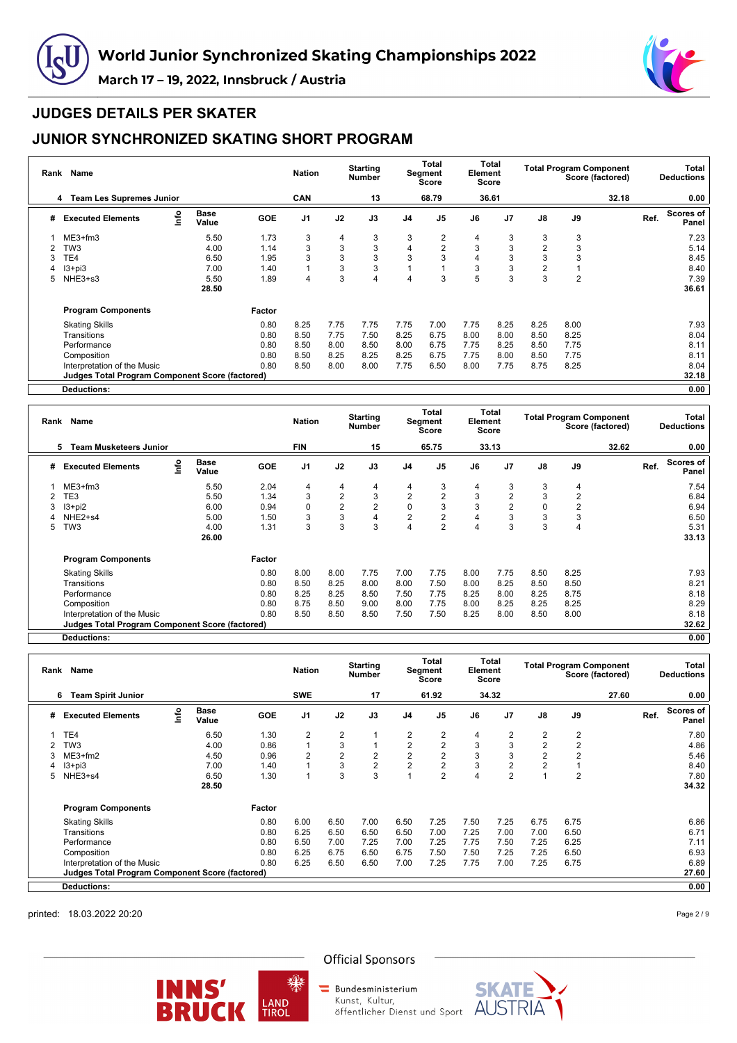



## **JUDGES DETAILS PER SKATER**

# **JUNIOR SYNCHRONIZED SKATING SHORT PROGRAM**

| Rank | Name                                            |      |                      |            | <b>Nation</b>  |      | <b>Starting</b><br><b>Number</b> |                | Total<br>Segment<br><b>Score</b> | Element | Total<br><b>Score</b> |                | <b>Total Program Component</b> | Score (factored) |      | Total<br><b>Deductions</b> |
|------|-------------------------------------------------|------|----------------------|------------|----------------|------|----------------------------------|----------------|----------------------------------|---------|-----------------------|----------------|--------------------------------|------------------|------|----------------------------|
|      | <b>Team Les Supremes Junior</b><br>4            |      |                      |            | <b>CAN</b>     |      | 13                               |                | 68.79                            |         | 36.61                 |                |                                | 32.18            |      | 0.00                       |
| #    | <b>Executed Elements</b>                        | lnfo | <b>Base</b><br>Value | <b>GOE</b> | J <sub>1</sub> | J2   | J3                               | J4             | J <sub>5</sub>                   | J6      | J7                    | $\mathsf{J}8$  | J9                             |                  | Ref. | <b>Scores of</b><br>Panel  |
|      | $ME3+fm3$                                       |      | 5.50                 | 1.73       | 3              | 4    | 3                                | 3              | 2                                | 4       | 3                     | 3              | 3                              |                  |      | 7.23                       |
|      | TW <sub>3</sub>                                 |      | 4.00                 | 1.14       | 3              | 3    | 3                                | 4              | $\overline{2}$                   | 3       | 3                     | $\overline{2}$ | 3                              |                  |      | 5.14                       |
|      | TE4                                             |      | 6.50                 | 1.95       | 3              | 3    | 3                                | 3              | 3                                |         | 3                     | 3              | 3                              |                  |      | 8.45                       |
|      | $13 + pi3$                                      |      | 7.00                 | 1.40       |                | 3    | 3                                |                |                                  | 3       | 3                     | $\overline{2}$ |                                |                  |      | 8.40                       |
| 5    | NHE3+s3                                         |      | 5.50                 | 1.89       | 4              | 3    | 4                                | $\overline{4}$ | 3                                | 5       | 3                     | 3              | $\overline{2}$                 |                  |      | 7.39                       |
|      |                                                 |      | 28.50                |            |                |      |                                  |                |                                  |         |                       |                |                                |                  |      | 36.61                      |
|      | <b>Program Components</b>                       |      |                      | Factor     |                |      |                                  |                |                                  |         |                       |                |                                |                  |      |                            |
|      | <b>Skating Skills</b>                           |      |                      | 0.80       | 8.25           | 7.75 | 7.75                             | 7.75           | 7.00                             | 7.75    | 8.25                  | 8.25           | 8.00                           |                  |      | 7.93                       |
|      | Transitions                                     |      |                      | 0.80       | 8.50           | 7.75 | 7.50                             | 8.25           | 6.75                             | 8.00    | 8.00                  | 8.50           | 8.25                           |                  |      | 8.04                       |
|      | Performance                                     |      |                      | 0.80       | 8.50           | 8.00 | 8.50                             | 8.00           | 6.75                             | 7.75    | 8.25                  | 8.50           | 7.75                           |                  |      | 8.11                       |
|      | Composition                                     |      |                      | 0.80       | 8.50           | 8.25 | 8.25                             | 8.25           | 6.75                             | 7.75    | 8.00                  | 8.50           | 7.75                           |                  |      | 8.11                       |
|      | Interpretation of the Music                     |      |                      | 0.80       | 8.50           | 8.00 | 8.00                             | 7.75           | 6.50                             | 8.00    | 7.75                  | 8.75           | 8.25                           |                  |      | 8.04                       |
|      | Judges Total Program Component Score (factored) |      |                      |            |                |      |                                  |                |                                  |         |                       |                |                                |                  |      | 32.18                      |
|      | <b>Deductions:</b>                              |      |                      |            |                |      |                                  |                |                                  |         |                       |                |                                |                  |      | 0.00                       |

**Rank Name Nation Starting Number Total Segment Score Total Element Score Total Program Component Score (factored) Total Deductions 5 Team Musketeers Junior FIN 15 65.75 33.13 32.62 0.00 # Executed Elements Info Base Value GOE J1 J2 J3 J4 J5 J6 J7 J8 J9 Ref. Scores of Panel** 1 ME3+fm3 5.50 2.04 4 4 4 4 3 4 3 3 4 7.54 2 TE3 5.50 1.34 3 2 3 2 2 3 2 3 2 6.84 3 I3+pi2 6.00 0.94 0 2 2 0 3 3 2 0 2 6.94 4 NHE2+s4 5.00 1.50 3 3 4 2 2 4 3 3 3 6.50 5 TW3 4.00 1.31 3 3 3 4 2 4 3 3 4 5.31 **26.00 33.13 Program Components Factor** Skating Skills 0.80 8.00 8.00 7.75 7.00 7.75 8.00 7.75 8.50 8.25 7.93 Transitions 0.80 8.50 8.25 8.00 8.00 7.50 8.00 8.25 8.50 8.50 8.21 Performance 0.80 8.25 8.25 8.50 7.50 7.75 8.25 8.00 8.25 8.75 8.18 Composition 0.80 8.75 8.50 9.00 8.00 7.75 8.00 8.25 8.25 8.25 8.29 Interpretation of the Music 0.80 8.50 8.50 8.50 7.50 7.50 8.25 8.00 8.50 8.00 8.18 **Judges Total Program Component Score (factored) 32.62**

**Deductions: 0.00**

| Rank | Name                                                   |          |                      |            | <b>Nation</b>  |                | <b>Starting</b><br><b>Number</b> |                | Total<br>Segment<br><b>Score</b> | Element | Total<br>Score |                | <b>Total Program Component</b><br>Score (factored) |      | <b>Total</b><br><b>Deductions</b> |
|------|--------------------------------------------------------|----------|----------------------|------------|----------------|----------------|----------------------------------|----------------|----------------------------------|---------|----------------|----------------|----------------------------------------------------|------|-----------------------------------|
|      | <b>Team Spirit Junior</b><br>6                         |          |                      |            | <b>SWE</b>     |                | 17                               |                | 61.92                            |         | 34.32          |                | 27.60                                              |      | 0.00                              |
| #    | <b>Executed Elements</b>                               | <u>c</u> | <b>Base</b><br>Value | <b>GOE</b> | J <sub>1</sub> | J2             | J3                               | J <sub>4</sub> | J <sub>5</sub>                   | J6      | J <sub>7</sub> | $\mathsf{J}8$  | J9                                                 | Ref. | Scores of<br>Panel                |
|      | TE4                                                    |          | 6.50                 | 1.30       | $\overline{2}$ | $\overline{2}$ |                                  | 2              | $\overline{2}$                   | 4       | 2              | 2              | 2                                                  |      | 7.80                              |
|      | TW <sub>3</sub>                                        |          | 4.00                 | 0.86       | 1              | 3              |                                  | 2              | 2                                | 3       | 3              | $\overline{2}$ | $\overline{2}$                                     |      | 4.86                              |
|      | $ME3+fm2$                                              |          | 4.50                 | 0.96       | $\overline{2}$ | $\overline{2}$ | $\overline{2}$                   | 2              | $\overline{2}$                   | 3       | 3              | $\overline{2}$ | $\overline{2}$                                     |      | 5.46                              |
|      | $13 + pi3$                                             |          | 7.00                 | 1.40       |                | 3              | $\overline{2}$                   | $\overline{2}$ | $\overline{2}$                   | 3       | $\overline{2}$ | $\overline{2}$ |                                                    |      | 8.40                              |
| 5.   | NHE3+s4                                                |          | 6.50                 | 1.30       |                | 3              | 3                                |                | $\overline{2}$                   |         | $\overline{2}$ |                | $\overline{2}$                                     |      | 7.80                              |
|      |                                                        |          | 28.50                |            |                |                |                                  |                |                                  |         |                |                |                                                    |      | 34.32                             |
|      | <b>Program Components</b>                              |          |                      | Factor     |                |                |                                  |                |                                  |         |                |                |                                                    |      |                                   |
|      | <b>Skating Skills</b>                                  |          |                      | 0.80       | 6.00           | 6.50           | 7.00                             | 6.50           | 7.25                             | 7.50    | 7.25           | 6.75           | 6.75                                               |      | 6.86                              |
|      | Transitions                                            |          |                      | 0.80       | 6.25           | 6.50           | 6.50                             | 6.50           | 7.00                             | 7.25    | 7.00           | 7.00           | 6.50                                               |      | 6.71                              |
|      | Performance                                            |          |                      | 0.80       | 6.50           | 7.00           | 7.25                             | 7.00           | 7.25                             | 7.75    | 7.50           | 7.25           | 6.25                                               |      | 7.11                              |
|      | Composition                                            |          |                      | 0.80       | 6.25           | 6.75           | 6.50                             | 6.75           | 7.50                             | 7.50    | 7.25           | 7.25           | 6.50                                               |      | 6.93                              |
|      | Interpretation of the Music                            |          |                      | 0.80       | 6.25           | 6.50           | 6.50                             | 7.00           | 7.25                             | 7.75    | 7.00           | 7.25           | 6.75                                               |      | 6.89                              |
|      | <b>Judges Total Program Component Score (factored)</b> |          |                      |            |                |                |                                  |                |                                  |         |                |                |                                                    |      | 27.60                             |
|      | <b>Deductions:</b>                                     |          |                      |            |                |                |                                  |                |                                  |         |                |                |                                                    |      | 0.00                              |

printed: 18.03.2022 20:20

Page 2 / 9



**Official Sponsors** 





Kunst, Kultur,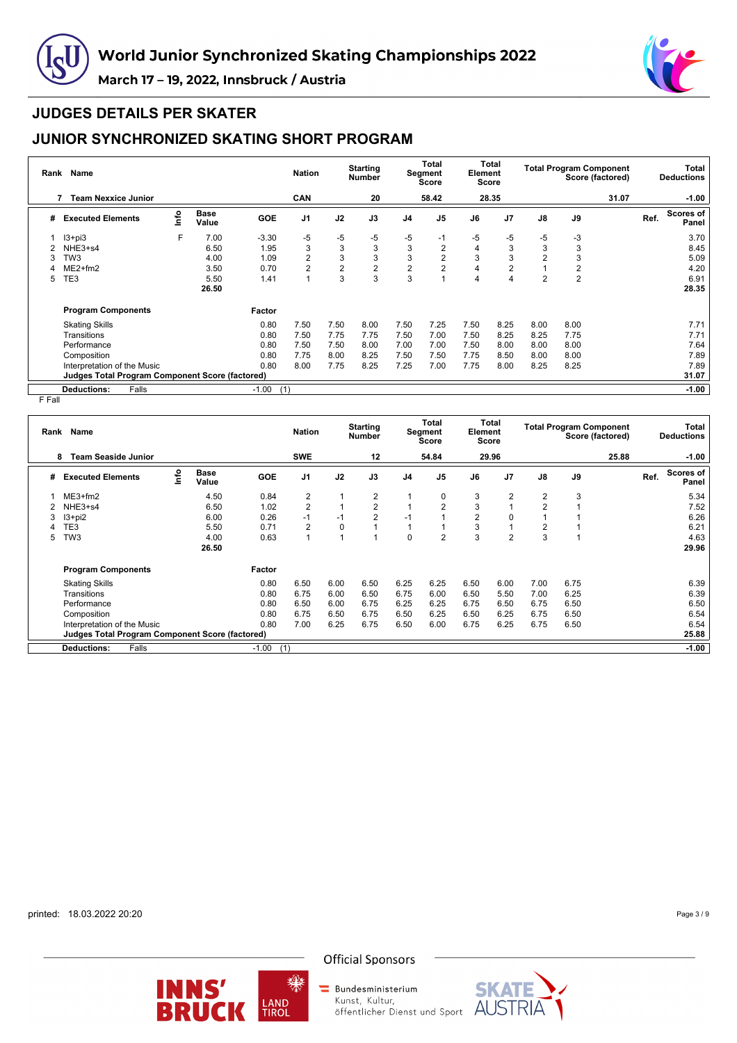



#### **JUDGES DETAILS PER SKATER**

## **JUNIOR SYNCHRONIZED SKATING SHORT PROGRAM**

| Rank | Name                                                   |      |                      |                | <b>Nation</b>  |                | <b>Starting</b><br><b>Number</b> |                | <b>Total</b><br>Segment<br>Score | Element | Total<br>Score |                |                | <b>Total Program Component</b><br>Score (factored) |      | Total<br><b>Deductions</b> |
|------|--------------------------------------------------------|------|----------------------|----------------|----------------|----------------|----------------------------------|----------------|----------------------------------|---------|----------------|----------------|----------------|----------------------------------------------------|------|----------------------------|
|      | <b>Team Nexxice Junior</b>                             |      |                      |                | <b>CAN</b>     |                | 20                               |                | 58.42                            |         | 28.35          |                |                | 31.07                                              |      | $-1.00$                    |
| #    | <b>Executed Elements</b>                               | lnfo | <b>Base</b><br>Value | <b>GOE</b>     | J <sub>1</sub> | J2             | J3                               | J <sub>4</sub> | J <sub>5</sub>                   | J6      | J <sub>7</sub> | $\mathsf{J}8$  | J9             |                                                    | Ref. | <b>Scores of</b><br>Panel  |
|      | $13 + pi3$                                             | F    | 7.00                 | $-3.30$        | -5             | -5             | $-5$                             | $-5$           | -1                               | $-5$    | -5             | -5             | -3             |                                                    |      | 3.70                       |
|      | NHE3+s4                                                |      | 6.50                 | 1.95           | 3              | 3              | 3                                | 3              | 2                                | 4       | 3              | 3              | 3              |                                                    |      | 8.45                       |
|      | TW <sub>3</sub>                                        |      | 4.00                 | 1.09           | 2              | 3              | 3                                | 3              | $\overline{2}$                   | 3       | 3              | $\overline{2}$ | 3              |                                                    |      | 5.09                       |
|      | $ME2+fm2$                                              |      | 3.50                 | 0.70           | 2              | $\overline{2}$ | $\overline{2}$                   | $\overline{2}$ | 2                                | 4       | 2              |                | $\overline{2}$ |                                                    |      | 4.20                       |
| 5    | TE3                                                    |      | 5.50                 | 1.41           | $\overline{1}$ | 3              | 3                                | 3              |                                  | 4       | 4              | $\overline{2}$ | $\overline{2}$ |                                                    |      | 6.91                       |
|      |                                                        |      | 26.50                |                |                |                |                                  |                |                                  |         |                |                |                |                                                    |      | 28.35                      |
|      | <b>Program Components</b>                              |      |                      | Factor         |                |                |                                  |                |                                  |         |                |                |                |                                                    |      |                            |
|      | <b>Skating Skills</b>                                  |      |                      | 0.80           | 7.50           | 7.50           | 8.00                             | 7.50           | 7.25                             | 7.50    | 8.25           | 8.00           | 8.00           |                                                    |      | 7.71                       |
|      | Transitions                                            |      |                      | 0.80           | 7.50           | 7.75           | 7.75                             | 7.50           | 7.00                             | 7.50    | 8.25           | 8.25           | 7.75           |                                                    |      | 7.71                       |
|      | Performance                                            |      |                      | 0.80           | 7.50           | 7.50           | 8.00                             | 7.00           | 7.00                             | 7.50    | 8.00           | 8.00           | 8.00           |                                                    |      | 7.64                       |
|      | Composition                                            |      |                      | 0.80           | 7.75           | 8.00           | 8.25                             | 7.50           | 7.50                             | 7.75    | 8.50           | 8.00           | 8.00           |                                                    |      | 7.89                       |
|      | Interpretation of the Music                            |      |                      | 0.80           | 8.00           | 7.75           | 8.25                             | 7.25           | 7.00                             | 7.75    | 8.00           | 8.25           | 8.25           |                                                    |      | 7.89                       |
|      | <b>Judges Total Program Component Score (factored)</b> |      |                      |                |                |                |                                  |                |                                  |         |                |                |                |                                                    |      | 31.07                      |
|      | <b>Deductions:</b><br>Falls                            |      |                      | $-1.00$<br>(1) |                |                |                                  |                |                                  |         |                |                |                |                                                    |      | $-1.00$                    |

F Fall

|   | Rank Name                                              |      |                      |            | <b>Nation</b>  |      | <b>Starting</b><br>Number |                | Total<br>Segment<br><b>Score</b> | Element        | Total<br>Score |                | <b>Total Program Component</b><br>Score (factored) |      | Total<br><b>Deductions</b> |
|---|--------------------------------------------------------|------|----------------------|------------|----------------|------|---------------------------|----------------|----------------------------------|----------------|----------------|----------------|----------------------------------------------------|------|----------------------------|
|   | <b>Team Seaside Junior</b><br>8                        |      |                      |            | <b>SWE</b>     |      | 12                        |                | 54.84                            |                | 29.96          |                | 25.88                                              |      | $-1.00$                    |
| # | <b>Executed Elements</b>                               | ١nf٥ | <b>Base</b><br>Value | <b>GOE</b> | J <sub>1</sub> | J2   | J3                        | J <sub>4</sub> | J <sub>5</sub>                   | J6             | J <sub>7</sub> | J8             | J9                                                 | Ref. | Scores of<br>Panel         |
|   | $ME3+fm2$                                              |      | 4.50                 | 0.84       | $\overline{2}$ |      | $\overline{2}$            |                | 0                                | 3              | $\overline{2}$ | $\overline{2}$ | 3                                                  |      | 5.34                       |
|   | NHE3+s4                                                |      | 6.50                 | 1.02       | $\overline{2}$ |      | $\overline{2}$            |                | $\overline{2}$                   | 3              |                | $\overline{2}$ |                                                    |      | 7.52                       |
| 3 | $13 + pi2$                                             |      | 6.00                 | 0.26       | $-1$           | $-1$ | $\overline{2}$            | $-1$           |                                  | $\overline{2}$ | 0              |                |                                                    |      | 6.26                       |
|   | TE3                                                    |      | 5.50                 | 0.71       | $\overline{2}$ | 0    |                           |                |                                  | 3              |                | $\overline{2}$ |                                                    |      | 6.21                       |
| 5 | TW <sub>3</sub>                                        |      | 4.00                 | 0.63       |                |      |                           | $\Omega$       | $\overline{2}$                   | 3              | $\overline{2}$ | 3              |                                                    |      | 4.63                       |
|   |                                                        |      | 26.50                |            |                |      |                           |                |                                  |                |                |                |                                                    |      | 29.96                      |
|   | <b>Program Components</b>                              |      |                      | Factor     |                |      |                           |                |                                  |                |                |                |                                                    |      |                            |
|   | <b>Skating Skills</b>                                  |      |                      | 0.80       | 6.50           | 6.00 | 6.50                      | 6.25           | 6.25                             | 6.50           | 6.00           | 7.00           | 6.75                                               |      | 6.39                       |
|   | Transitions                                            |      |                      | 0.80       | 6.75           | 6.00 | 6.50                      | 6.75           | 6.00                             | 6.50           | 5.50           | 7.00           | 6.25                                               |      | 6.39                       |
|   | Performance                                            |      |                      | 0.80       | 6.50           | 6.00 | 6.75                      | 6.25           | 6.25                             | 6.75           | 6.50           | 6.75           | 6.50                                               |      | 6.50                       |
|   | Composition                                            |      |                      | 0.80       | 6.75           | 6.50 | 6.75                      | 6.50           | 6.25                             | 6.50           | 6.25           | 6.75           | 6.50                                               |      | 6.54                       |
|   | Interpretation of the Music                            |      |                      | 0.80       | 7.00           | 6.25 | 6.75                      | 6.50           | 6.00                             | 6.75           | 6.25           | 6.75           | 6.50                                               |      | 6.54                       |
|   | <b>Judges Total Program Component Score (factored)</b> |      |                      |            |                |      |                           |                |                                  |                |                |                |                                                    |      | 25.88                      |
|   | <b>Deductions:</b><br>Falls                            |      |                      | $-1.00$    | (1)            |      |                           |                |                                  |                |                |                |                                                    |      | $-1.00$                    |

printed: 18.03.2022 20:20

Page 3 / 9



缫



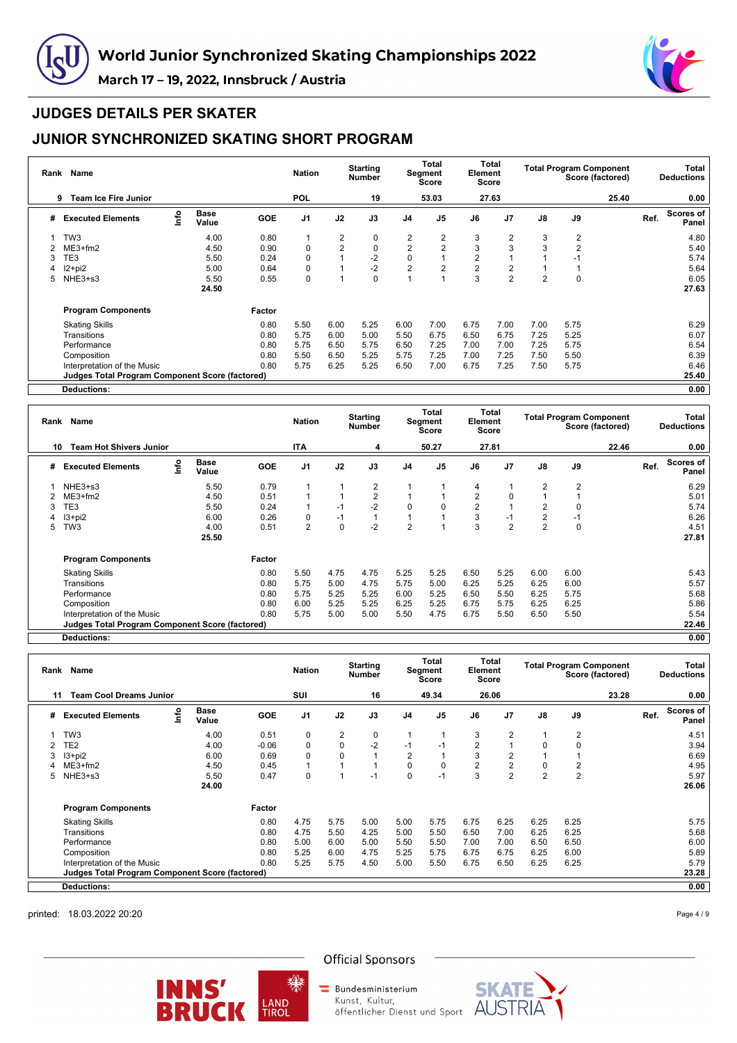



### **JUDGES DETAILS PER SKATER**

## **JUNIOR SYNCHRONIZED SKATING SHORT PROGRAM**

| Rank | <b>Name</b>                                     |      |                      |            | <b>Nation</b>  |                | <b>Starting</b><br><b>Number</b> |                | Total<br>Segment<br>Score | Element        | Total<br>Score |                |                | <b>Total Program Component</b><br>Score (factored) |      | Total<br><b>Deductions</b> |
|------|-------------------------------------------------|------|----------------------|------------|----------------|----------------|----------------------------------|----------------|---------------------------|----------------|----------------|----------------|----------------|----------------------------------------------------|------|----------------------------|
|      | <b>Team Ice Fire Junior</b><br>9                |      |                      |            | <b>POL</b>     |                | 19                               |                | 53.03                     |                | 27.63          |                |                | 25.40                                              |      | 0.00                       |
| #    | <b>Executed Elements</b>                        | info | <b>Base</b><br>Value | <b>GOE</b> | J <sub>1</sub> | J2             | J3                               | J <sub>4</sub> | J <sub>5</sub>            | J6             | J <sub>7</sub> | J8             | J9             |                                                    | Ref. | Scores of<br>Panel         |
|      | TW <sub>3</sub>                                 |      | 4.00                 | 0.80       | 1              | $\overline{2}$ | 0                                | 2              | 2                         | 3              | 2              | 3              | 2              |                                                    |      | 4.80                       |
|      | $ME3+fm2$                                       |      | 4.50                 | 0.90       | 0              | $\overline{2}$ | $\mathbf 0$                      | $\overline{2}$ | $\overline{2}$            | 3              | 3              | 3              | $\overline{2}$ |                                                    |      | 5.40                       |
| 3    | TE3                                             |      | 5.50                 | 0.24       | 0              | $\overline{A}$ | $-2$                             | $\mathbf 0$    |                           | $\overline{2}$ |                |                | $-1$           |                                                    |      | 5.74                       |
|      | I2+pi2                                          |      | 5.00                 | 0.64       | 0              |                | $-2$                             | $\overline{2}$ | 2                         | $\overline{2}$ | 2              |                |                |                                                    |      | 5.64                       |
| 5    | NHE3+s3                                         |      | 5.50                 | 0.55       | 0              | $\overline{A}$ | 0                                |                |                           | 3              | $\overline{2}$ | $\overline{2}$ | 0              |                                                    |      | 6.05                       |
|      |                                                 |      | 24.50                |            |                |                |                                  |                |                           |                |                |                |                |                                                    |      | 27.63                      |
|      | <b>Program Components</b>                       |      |                      | Factor     |                |                |                                  |                |                           |                |                |                |                |                                                    |      |                            |
|      | <b>Skating Skills</b>                           |      |                      | 0.80       | 5.50           | 6.00           | 5.25                             | 6.00           | 7.00                      | 6.75           | 7.00           | 7.00           | 5.75           |                                                    |      | 6.29                       |
|      | Transitions                                     |      |                      | 0.80       | 5.75           | 6.00           | 5.00                             | 5.50           | 6.75                      | 6.50           | 6.75           | 7.25           | 5.25           |                                                    |      | 6.07                       |
|      | Performance                                     |      |                      | 0.80       | 5.75           | 6.50           | 5.75                             | 6.50           | 7.25                      | 7.00           | 7.00           | 7.25           | 5.75           |                                                    |      | 6.54                       |
|      | Composition                                     |      |                      | 0.80       | 5.50           | 6.50           | 5.25                             | 5.75           | 7.25                      | 7.00           | 7.25           | 7.50           | 5.50           |                                                    |      | 6.39                       |
|      | Interpretation of the Music                     |      |                      | 0.80       | 5.75           | 6.25           | 5.25                             | 6.50           | 7.00                      | 6.75           | 7.25           | 7.50           | 5.75           |                                                    |      | 6.46                       |
|      | Judges Total Program Component Score (factored) |      |                      |            |                |                |                                  |                |                           |                |                |                |                |                                                    |      | 25.40                      |
|      | Deductions:                                     |      |                      |            |                |                |                                  |                |                           |                |                |                |                |                                                    |      | 0.00                       |

**Rank Name Nation Starting Number Total Segment Score Total Element Score Total Program Component Score (factored) Total Deductions 10 Team Hot Shivers Junior ITA 4 50.27 27.81 22.46 0.00 # Executed Elements Info Base Value GOE J1 J2 J3 J4 J5 J6 J7 J8 J9 Ref. Scores of Panel** 1 NHE3+s3 5.50 0.79 1 1 2 1 1 4 1 2 2 6.29 2 ME3+fm2 4.50 0.51 1 1 2 1 1 2 0 1 1 5.01 3 TE3 5.50 0.24 1 -1 -2 0 0 2 1 2 0 5.74 4 I3+pi2 6.00 0.26 0 -1 1 1 1 3 -1 2 -1 6.26 5 TW3 4.00 0.51 2 0 -2 2 1 3 2 2 0 4.51 **25.50 27.81 Program Components Factor** Skating Skills 0.80 5.50 4.75 4.75 5.25 5.25 6.50 5.25 6.00 6.00 5.43 Transitions 0.80 5.75 5.00 4.75 5.75 5.00 6.25 5.25 6.25 6.00 5.57 Performance 0.80 5.75 5.25 5.25 6.00 5.25 6.50 5.50 6.25 5.75 5.68 Composition 0.80 6.00 5.25 5.25 6.25 5.25 6.75 5.75 6.25 6.25 5.86 Interpretation of the Music 0.80 5.75 5.00 5.00 5.50 4.75 6.75 5.50 6.50 5.50 5.54 **Judges Total Program Component Score (factored) 22.46**

**Deductions: 0.00**

| Rank | Name                                                   |      |                      |            | <b>Nation</b>  |           | <b>Starting</b><br><b>Number</b> |                | <b>Total</b><br>Segment<br><b>Score</b> | Element        | Total<br><b>Score</b> |                | <b>Total Program Component</b><br>Score (factored) |      | Total<br><b>Deductions</b> |
|------|--------------------------------------------------------|------|----------------------|------------|----------------|-----------|----------------------------------|----------------|-----------------------------------------|----------------|-----------------------|----------------|----------------------------------------------------|------|----------------------------|
| 11   | <b>Team Cool Dreams Junior</b>                         |      |                      |            | SUI            |           | 16                               |                | 49.34                                   |                | 26.06                 |                | 23.28                                              |      | 0.00                       |
| #    | <b>Executed Elements</b>                               | lnfo | <b>Base</b><br>Value | <b>GOE</b> | J <sub>1</sub> | J2        | J3                               | J <sub>4</sub> | J <sub>5</sub>                          | J6             | J <sub>7</sub>        | $\mathsf{J}8$  | J9                                                 | Ref. | <b>Scores of</b><br>Panel  |
|      | TW <sub>3</sub>                                        |      | 4.00                 | 0.51       | $\mathbf 0$    | 2         | 0                                |                |                                         | 3              | 2                     | $\overline{1}$ | 2                                                  |      | 4.51                       |
|      | TE2                                                    |      | 4.00                 | $-0.06$    | 0              | $\pmb{0}$ | $-2$                             | $-1$           | -1                                      | $\overline{2}$ |                       | 0              | 0                                                  |      | 3.94                       |
|      | $13 + pi2$                                             |      | 6.00                 | 0.69       | 0              | 0         |                                  | 2              |                                         | 3              | 2                     |                |                                                    |      | 6.69                       |
|      | $ME3+fm2$                                              |      | 4.50                 | 0.45       | 1              |           | 1                                | 0              | $\Omega$                                | $\overline{2}$ | $\overline{2}$        | 0              | 2                                                  |      | 4.95                       |
| 5.   | NHE3+s3                                                |      | 5.50                 | 0.47       | 0              |           | $-1$                             | $\Omega$       | $-1$                                    | 3              | $\overline{2}$        | $\overline{2}$ | $\overline{2}$                                     |      | 5.97                       |
|      |                                                        |      | 24.00                |            |                |           |                                  |                |                                         |                |                       |                |                                                    |      | 26.06                      |
|      | <b>Program Components</b>                              |      |                      | Factor     |                |           |                                  |                |                                         |                |                       |                |                                                    |      |                            |
|      | <b>Skating Skills</b>                                  |      |                      | 0.80       | 4.75           | 5.75      | 5.00                             | 5.00           | 5.75                                    | 6.75           | 6.25                  | 6.25           | 6.25                                               |      | 5.75                       |
|      | Transitions                                            |      |                      | 0.80       | 4.75           | 5.50      | 4.25                             | 5.00           | 5.50                                    | 6.50           | 7.00                  | 6.25           | 6.25                                               |      | 5.68                       |
|      | Performance                                            |      |                      | 0.80       | 5.00           | 6.00      | 5.00                             | 5.50           | 5.50                                    | 7.00           | 7.00                  | 6.50           | 6.50                                               |      | 6.00                       |
|      | Composition                                            |      |                      | 0.80       | 5.25           | 6.00      | 4.75                             | 5.25           | 5.75                                    | 6.75           | 6.75                  | 6.25           | 6.00                                               |      | 5.89                       |
|      | Interpretation of the Music                            |      |                      | 0.80       | 5.25           | 5.75      | 4.50                             | 5.00           | 5.50                                    | 6.75           | 6.50                  | 6.25           | 6.25                                               |      | 5.79                       |
|      | <b>Judges Total Program Component Score (factored)</b> |      |                      |            |                |           |                                  |                |                                         |                |                       |                |                                                    |      | 23.28                      |
|      | <b>Deductions:</b>                                     |      |                      |            |                |           |                                  |                |                                         |                |                       |                |                                                    |      | 0.00                       |

printed: 18.03.2022 20:20

Page 4 / 9



₩

**Official Sponsors** 

Bundesministerium Kunst, Kultur,

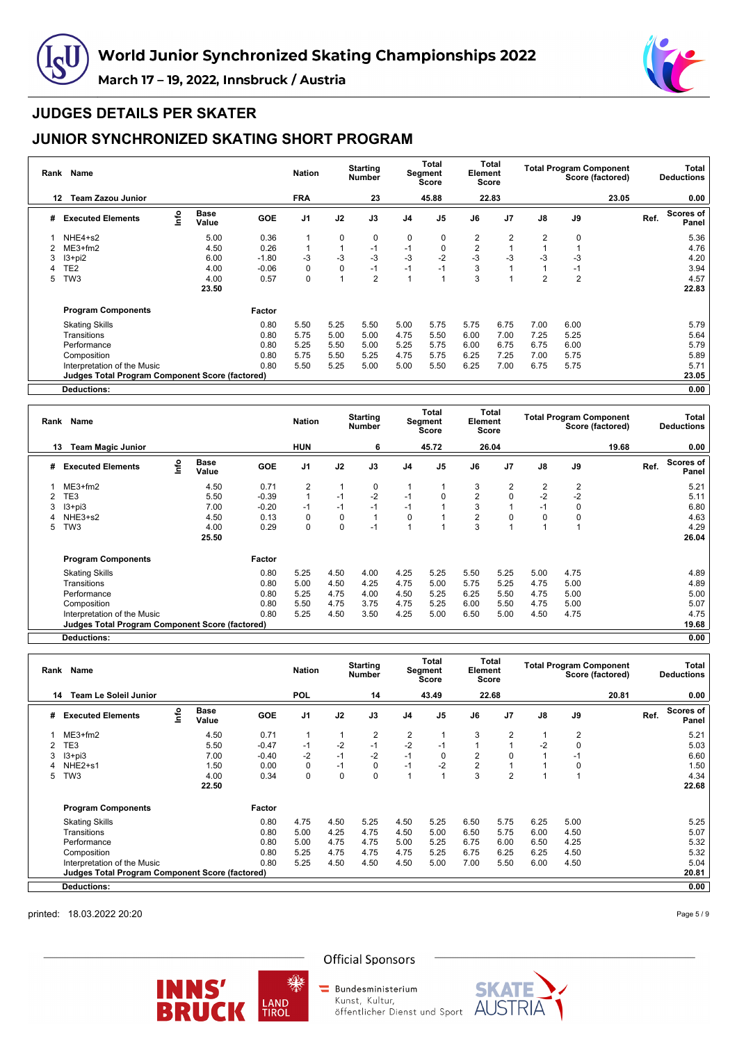



### **JUDGES DETAILS PER SKATER**

## **JUNIOR SYNCHRONIZED SKATING SHORT PROGRAM**

| Rank | <b>Name</b>                                     |      |                      |            | <b>Nation</b>  |              | <b>Starting</b><br><b>Number</b> |                | Total<br>Segment<br>Score | Element        | Total<br>Score |                | <b>Total Program Component</b> | Score (factored) |      | Total<br><b>Deductions</b> |
|------|-------------------------------------------------|------|----------------------|------------|----------------|--------------|----------------------------------|----------------|---------------------------|----------------|----------------|----------------|--------------------------------|------------------|------|----------------------------|
|      | <b>Team Zazou Junior</b><br>12                  |      |                      |            | <b>FRA</b>     |              | 23                               |                | 45.88                     |                | 22.83          |                |                                | 23.05            |      | 0.00                       |
| #    | <b>Executed Elements</b>                        | info | <b>Base</b><br>Value | <b>GOE</b> | J <sub>1</sub> | J2           | J3                               | J <sub>4</sub> | J <sub>5</sub>            | J6             | J7             | J8             | J9                             |                  | Ref. | Scores of<br>Panel         |
|      | NHE4+s2                                         |      | 5.00                 | 0.36       | 1              | 0            | $\mathbf 0$                      | 0              | 0                         | 2              | 2              | 2              | 0                              |                  |      | 5.36                       |
|      | $ME3+fm2$                                       |      | 4.50                 | 0.26       | 1              | $\mathbf{1}$ | $-1$                             | $-1$           | 0                         | $\overline{2}$ |                |                |                                |                  |      | 4.76                       |
| 3    | $13 + pi2$                                      |      | 6.00                 | $-1.80$    | -3             | $-3$         | $-3$                             | $-3$           | $-2$                      | $-3$           | -3             | -3             | -3                             |                  |      | 4.20                       |
|      | TE <sub>2</sub>                                 |      | 4.00                 | $-0.06$    | 0              | 0            | $-1$                             | $-1$           | $-1$                      | 3              |                |                | $-1$                           |                  |      | 3.94                       |
| 5    | TW <sub>3</sub>                                 |      | 4.00                 | 0.57       | 0              | $\mathbf{1}$ | $\overline{2}$                   |                |                           | 3              |                | $\overline{2}$ | $\overline{2}$                 |                  |      | 4.57                       |
|      |                                                 |      | 23.50                |            |                |              |                                  |                |                           |                |                |                |                                |                  |      | 22.83                      |
|      | <b>Program Components</b>                       |      |                      | Factor     |                |              |                                  |                |                           |                |                |                |                                |                  |      |                            |
|      | <b>Skating Skills</b>                           |      |                      | 0.80       | 5.50           | 5.25         | 5.50                             | 5.00           | 5.75                      | 5.75           | 6.75           | 7.00           | 6.00                           |                  |      | 5.79                       |
|      | Transitions                                     |      |                      | 0.80       | 5.75           | 5.00         | 5.00                             | 4.75           | 5.50                      | 6.00           | 7.00           | 7.25           | 5.25                           |                  |      | 5.64                       |
|      | Performance                                     |      |                      | 0.80       | 5.25           | 5.50         | 5.00                             | 5.25           | 5.75                      | 6.00           | 6.75           | 6.75           | 6.00                           |                  |      | 5.79                       |
|      | Composition                                     |      |                      | 0.80       | 5.75           | 5.50         | 5.25                             | 4.75           | 5.75                      | 6.25           | 7.25           | 7.00           | 5.75                           |                  |      | 5.89                       |
|      | Interpretation of the Music                     |      |                      | 0.80       | 5.50           | 5.25         | 5.00                             | 5.00           | 5.50                      | 6.25           | 7.00           | 6.75           | 5.75                           |                  |      | 5.71                       |
|      | Judges Total Program Component Score (factored) |      |                      |            |                |              |                                  |                |                           |                |                |                |                                |                  |      | 23.05                      |
|      | Deductions:                                     |      |                      |            |                |              |                                  |                |                           |                |                |                |                                |                  |      | 0.00                       |

**Rank Name Nation Starting Number Total Segment Score Total Element Score Total Program Component Score (factored) Total Deductions 13 Team Magic Junior HUN 6 45.72 26.04 19.68 0.00 # Executed Elements Info Base Value GOE J1 J2 J3 J4 J5 J6 J7 J8 J9 Ref. Scores of Panel** 1 ME3+fm2 4.50 0.71 2 1 0 1 1 3 2 2 2 5.21 2 TE3 5.50 -0.39 1 -1 -2 -1 0 2 0 -2 -2 5.11 3 I3+pi3 7.00 -0.20 -1 -1 -1 -1 1 3 1 -1 0 6.80 4 NHE3+s2 4.50 0.13 0 0 1 0 1 2 0 0 0 4.63 5 TW3 4.00 0.29 0 0 -1 1 1 3 1 1 1 4.29 **25.50 26.04 Program Components Factor** Skating Skills 0.80 5.25 4.50 4.00 4.25 5.25 5.50 5.25 5.00 4.75 4.89 Transitions 0.80 5.00 4.50 4.25 4.75 5.00 5.75 5.25 4.75 5.00 4.89 Performance 0.80 5.25 4.75 4.00 4.50 5.25 6.25 5.50 4.75 5.00 5.00 Composition 0.80 5.50 4.75 3.75 4.75 5.25 6.00 5.50 4.75 5.00 5.07 Interpretation of the Music 0.80 5.25 4.50 3.50 4.25 5.00 6.50 5.00 4.50 4.75 4.75 4.75<br> **Judges Total Program Component Score (factored)** 19.68 **Judges Total Program Component Score (factored) 19.68**

**Deductions: 0.00**

| Rank | Name                                                   |   |                      |            | <b>Nation</b>  |      | <b>Starting</b><br>Number |                | Total<br>Segment<br><b>Score</b> | Element        | Total<br><b>Score</b> |               | <b>Total Program Component</b><br>Score (factored) |      | Total<br><b>Deductions</b> |
|------|--------------------------------------------------------|---|----------------------|------------|----------------|------|---------------------------|----------------|----------------------------------|----------------|-----------------------|---------------|----------------------------------------------------|------|----------------------------|
| 14   | <b>Team Le Soleil Junior</b>                           |   |                      |            | <b>POL</b>     |      | 14                        |                | 43.49                            |                | 22.68                 |               | 20.81                                              |      | 0.00                       |
| #    | <b>Executed Elements</b>                               | e | <b>Base</b><br>Value | <b>GOE</b> | J <sub>1</sub> | J2   | J3                        | J <sub>4</sub> | J <sub>5</sub>                   | J6             | J <sub>7</sub>        | $\mathsf{J}8$ | J9                                                 | Ref. | <b>Scores of</b><br>Panel  |
|      | $ME3+fm2$                                              |   | 4.50                 | 0.71       | $\overline{1}$ |      | 2                         | 2              |                                  | 3              | 2                     | 1             | 2                                                  |      | 5.21                       |
|      | TE3                                                    |   | 5.50                 | $-0.47$    | $-1$           | $-2$ | $-1$                      | $-2$           | $-1$                             |                |                       | $-2$          | 0                                                  |      | 5.03                       |
|      | $13 + pi3$                                             |   | 7.00                 | $-0.40$    | $-2$           | $-1$ | $-2$                      | $-1$           | 0                                | $\overline{2}$ | $\Omega$              |               | $-1$                                               |      | 6.60                       |
|      | NHE <sub>2+s1</sub>                                    |   | 1.50                 | 0.00       | 0              | $-1$ | 0                         | $-1$           | $-2$                             | $\overline{2}$ |                       |               | 0                                                  |      | 1.50                       |
| 5    | TW <sub>3</sub>                                        |   | 4.00                 | 0.34       | 0              | 0    | 0                         |                |                                  | 3              | $\overline{2}$        |               |                                                    |      | 4.34                       |
|      |                                                        |   | 22.50                |            |                |      |                           |                |                                  |                |                       |               |                                                    |      | 22.68                      |
|      | <b>Program Components</b>                              |   |                      | Factor     |                |      |                           |                |                                  |                |                       |               |                                                    |      |                            |
|      | <b>Skating Skills</b>                                  |   |                      | 0.80       | 4.75           | 4.50 | 5.25                      | 4.50           | 5.25                             | 6.50           | 5.75                  | 6.25          | 5.00                                               |      | 5.25                       |
|      | Transitions                                            |   |                      | 0.80       | 5.00           | 4.25 | 4.75                      | 4.50           | 5.00                             | 6.50           | 5.75                  | 6.00          | 4.50                                               |      | 5.07                       |
|      | Performance                                            |   |                      | 0.80       | 5.00           | 4.75 | 4.75                      | 5.00           | 5.25                             | 6.75           | 6.00                  | 6.50          | 4.25                                               |      | 5.32                       |
|      | Composition                                            |   |                      | 0.80       | 5.25           | 4.75 | 4.75                      | 4.75           | 5.25                             | 6.75           | 6.25                  | 6.25          | 4.50                                               |      | 5.32                       |
|      | Interpretation of the Music                            |   |                      | 0.80       | 5.25           | 4.50 | 4.50                      | 4.50           | 5.00                             | 7.00           | 5.50                  | 6.00          | 4.50                                               |      | 5.04                       |
|      | <b>Judges Total Program Component Score (factored)</b> |   |                      |            |                |      |                           |                |                                  |                |                       |               |                                                    |      | 20.81                      |
|      | <b>Deductions:</b>                                     |   |                      |            |                |      |                           |                |                                  |                |                       |               |                                                    |      | 0.00                       |

printed: 18.03.2022 20:20

Page 5 / 9



**Official Sponsors** 

Bundesministerium Kunst, Kultur,

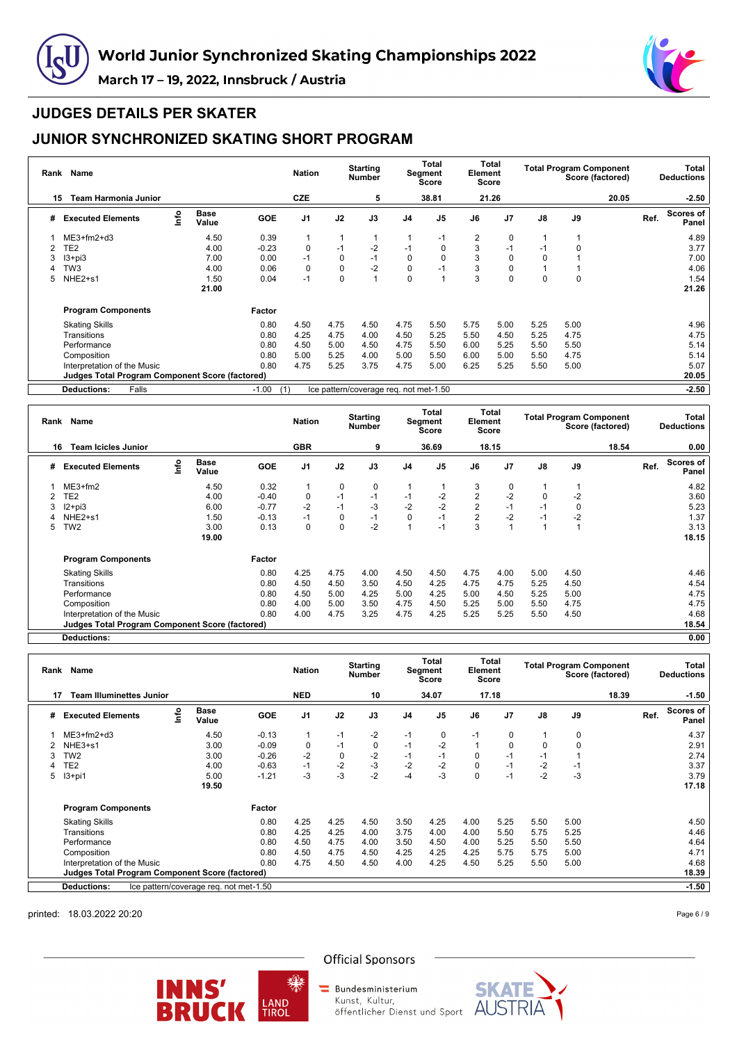



### **JUDGES DETAILS PER SKATER**

## **JUNIOR SYNCHRONIZED SKATING SHORT PROGRAM**

| Rank | <b>Name</b>                                     |      |                      |            | <b>Nation</b>  |              | <b>Starting</b><br><b>Number</b>       |                | Total<br><b>Segment</b><br>Score | Element        | Total<br>Score |          | <b>Total Program Component</b><br>Score (factored) |       |      | Total<br><b>Deductions</b> |
|------|-------------------------------------------------|------|----------------------|------------|----------------|--------------|----------------------------------------|----------------|----------------------------------|----------------|----------------|----------|----------------------------------------------------|-------|------|----------------------------|
| 15   | <b>Team Harmonia Junior</b>                     |      |                      |            | <b>CZE</b>     |              | 5                                      |                | 38.81                            |                | 21.26          |          |                                                    | 20.05 |      | $-2.50$                    |
| #    | <b>Executed Elements</b>                        | info | <b>Base</b><br>Value | <b>GOE</b> | J <sub>1</sub> | J2           | J3                                     | J <sub>4</sub> | J <sub>5</sub>                   | J6             | J7             | J8       | J9                                                 |       | Ref. | Scores of<br>Panel         |
|      | $ME3+fm2+d3$                                    |      | 4.50                 | 0.39       | 1              | $\mathbf{1}$ |                                        |                | $-1$                             | $\overline{2}$ | $\mathbf 0$    |          |                                                    |       |      | 4.89                       |
|      | TE <sub>2</sub>                                 |      | 4.00                 | $-0.23$    | 0              | $-1$         | $-2$                                   | $-1$           | 0                                | 3              | $-1$           | $-1$     | 0                                                  |       |      | 3.77                       |
| 3    | $13 + pi3$                                      |      | 7.00                 | 0.00       | $-1$           | 0            | $-1$                                   | 0              | $\Omega$                         | 3              | 0              | 0        |                                                    |       |      | 7.00                       |
|      | TW3                                             |      | 4.00                 | 0.06       | 0              | 0            | $-2$                                   | 0              | -1                               | 3              |                |          |                                                    |       |      | 4.06                       |
| 5    | NHE <sub>2+s1</sub>                             |      | 1.50                 | 0.04       | $-1$           | 0            |                                        | $\Omega$       |                                  | 3              | 0              | $\Omega$ | 0                                                  |       |      | 1.54                       |
|      |                                                 |      | 21.00                |            |                |              |                                        |                |                                  |                |                |          |                                                    |       |      | 21.26                      |
|      | <b>Program Components</b>                       |      |                      | Factor     |                |              |                                        |                |                                  |                |                |          |                                                    |       |      |                            |
|      | <b>Skating Skills</b>                           |      |                      | 0.80       | 4.50           | 4.75         | 4.50                                   | 4.75           | 5.50                             | 5.75           | 5.00           | 5.25     | 5.00                                               |       |      | 4.96                       |
|      | Transitions                                     |      |                      | 0.80       | 4.25           | 4.75         | 4.00                                   | 4.50           | 5.25                             | 5.50           | 4.50           | 5.25     | 4.75                                               |       |      | 4.75                       |
|      | Performance                                     |      |                      | 0.80       | 4.50           | 5.00         | 4.50                                   | 4.75           | 5.50                             | 6.00           | 5.25           | 5.50     | 5.50                                               |       |      | 5.14                       |
|      | Composition                                     |      |                      | 0.80       | 5.00           | 5.25         | 4.00                                   | 5.00           | 5.50                             | 6.00           | 5.00           | 5.50     | 4.75                                               |       |      | 5.14                       |
|      | Interpretation of the Music                     |      |                      | 0.80       | 4.75           | 5.25         | 3.75                                   | 4.75           | 5.00                             | 6.25           | 5.25           | 5.50     | 5.00                                               |       |      | 5.07                       |
|      | Judges Total Program Component Score (factored) |      |                      |            |                |              |                                        |                |                                  |                |                |          |                                                    |       |      | 20.05                      |
|      | <b>Deductions:</b><br>Falls                     |      |                      | $-1.00$    | (1)            |              | Ice pattern/coverage req. not met-1.50 |                |                                  |                |                |          |                                                    |       |      | $-2.50$                    |

| Rank | Name                                                   |     |                      |            | <b>Nation</b>  |             | <b>Starting</b><br><b>Number</b> |      | Total<br>Segment<br>Score | Element        | Total<br>Score |      |      | <b>Total Program Component</b><br>Score (factored) |      | Total<br><b>Deductions</b> |
|------|--------------------------------------------------------|-----|----------------------|------------|----------------|-------------|----------------------------------|------|---------------------------|----------------|----------------|------|------|----------------------------------------------------|------|----------------------------|
|      | <b>Team Icicles Junior</b><br>16                       |     |                      |            | <b>GBR</b>     |             | 9                                |      | 36.69                     |                | 18.15          |      |      | 18.54                                              |      | 0.00                       |
| #    | <b>Executed Elements</b>                               | r۴o | <b>Base</b><br>Value | <b>GOE</b> | J <sub>1</sub> | J2          | J3                               | J4   | J <sub>5</sub>            | J6             | J <sub>7</sub> | J8   | J9   |                                                    | Ref. | Scores of<br>Panel         |
|      | $ME3+fm2$                                              |     | 4.50                 | 0.32       |                | $\mathbf 0$ | 0                                |      |                           | 3              | 0              |      |      |                                                    |      | 4.82                       |
|      | TE2                                                    |     | 4.00                 | $-0.40$    | 0              | $-1$        | $-1$                             | $-1$ | -2                        | $\overline{2}$ | $-2$           | 0    | $-2$ |                                                    |      | 3.60                       |
| 3    | $12+pi3$                                               |     | 6.00                 | $-0.77$    | $-2$           | $-1$        | $-3$                             | $-2$ | $-2$                      | $\overline{2}$ | $-1$           | $-1$ | 0    |                                                    |      | 5.23                       |
|      | NHE <sub>2+s1</sub>                                    |     | 1.50                 | $-0.13$    | $-1$           | 0           | $-1$                             | 0    | $-1$                      | $\overline{2}$ | $-2$           | $-1$ | $-2$ |                                                    |      | 1.37                       |
| 5    | TW <sub>2</sub>                                        |     | 3.00                 | 0.13       | 0              | 0           | $-2$                             |      | $-1$                      | 3              |                |      |      |                                                    |      | 3.13                       |
|      |                                                        |     | 19.00                |            |                |             |                                  |      |                           |                |                |      |      |                                                    |      | 18.15                      |
|      | <b>Program Components</b>                              |     |                      | Factor     |                |             |                                  |      |                           |                |                |      |      |                                                    |      |                            |
|      | <b>Skating Skills</b>                                  |     |                      | 0.80       | 4.25           | 4.75        | 4.00                             | 4.50 | 4.50                      | 4.75           | 4.00           | 5.00 | 4.50 |                                                    |      | 4.46                       |
|      | Transitions                                            |     |                      | 0.80       | 4.50           | 4.50        | 3.50                             | 4.50 | 4.25                      | 4.75           | 4.75           | 5.25 | 4.50 |                                                    |      | 4.54                       |
|      | Performance                                            |     |                      | 0.80       | 4.50           | 5.00        | 4.25                             | 5.00 | 4.25                      | 5.00           | 4.50           | 5.25 | 5.00 |                                                    |      | 4.75                       |
|      | Composition                                            |     |                      | 0.80       | 4.00           | 5.00        | 3.50                             | 4.75 | 4.50                      | 5.25           | 5.00           | 5.50 | 4.75 |                                                    |      | 4.75                       |
|      | Interpretation of the Music                            |     |                      | 0.80       | 4.00           | 4.75        | 3.25                             | 4.75 | 4.25                      | 5.25           | 5.25           | 5.50 | 4.50 |                                                    |      | 4.68                       |
|      | <b>Judges Total Program Component Score (factored)</b> |     |                      |            |                |             |                                  |      |                           |                |                |      |      |                                                    |      | 18.54                      |

**Deductions: 0.00**

|    | Name<br>Rank                                           |      |                                        |            | <b>Nation</b>  | <b>Starting</b><br><b>Number</b> |      | Total<br>Segment<br><b>Score</b> |                | Total<br>Element<br>Score |                |               | <b>Total Program Component</b><br>Score (factored) | Total<br><b>Deductions</b> |                    |
|----|--------------------------------------------------------|------|----------------------------------------|------------|----------------|----------------------------------|------|----------------------------------|----------------|---------------------------|----------------|---------------|----------------------------------------------------|----------------------------|--------------------|
| 17 | <b>Team Illuminettes Junior</b>                        |      |                                        |            | <b>NED</b>     |                                  | 10   |                                  | 34.07          |                           | 17.18          |               | 18.39                                              |                            | $-1.50$            |
| #  | <b>Executed Elements</b>                               | info | <b>Base</b><br>Value                   | <b>GOE</b> | J <sub>1</sub> | J2                               | J3   | J <sub>4</sub>                   | J <sub>5</sub> | J6                        | J <sub>7</sub> | $\mathsf{J}8$ | J9                                                 | Ref.                       | Scores of<br>Panel |
|    | $ME3+fm2+d3$                                           |      | 4.50                                   | $-0.13$    | 1              | $-1$                             | $-2$ | $-1$                             | 0              | $-1$                      | 0              | 1             | 0                                                  |                            | 4.37               |
|    | NHE3+s1                                                |      | 3.00                                   | $-0.09$    | $\mathbf 0$    | $-1$                             | 0    | $-1$                             | $-2$           |                           | $\Omega$       | $\mathbf 0$   | $\mathbf 0$                                        |                            | 2.91               |
| 3  | TW <sub>2</sub>                                        |      | 3.00                                   | $-0.26$    | $-2$           | 0                                | $-2$ | $-1$                             | $-1$           | $\mathbf 0$               | $-1$           | $-1$          |                                                    |                            | 2.74               |
| 4  | TE <sub>2</sub>                                        |      | 4.00                                   | $-0.63$    | $-1$           | $-2$                             | $-3$ | $-2$                             | $-2$           | $\Omega$                  | $-1$           | $-2$          | $-1$                                               |                            | 3.37               |
| 5  | $13+pi1$                                               |      | 5.00                                   | $-1.21$    | -3             | $-3$                             | $-2$ | -4                               | $-3$           | 0                         | $-1$           | $-2$          | $-3$                                               |                            | 3.79               |
|    |                                                        |      | 19.50                                  |            |                |                                  |      |                                  |                |                           |                |               |                                                    |                            | 17.18              |
|    | <b>Program Components</b>                              |      |                                        | Factor     |                |                                  |      |                                  |                |                           |                |               |                                                    |                            |                    |
|    | <b>Skating Skills</b>                                  |      |                                        | 0.80       | 4.25           | 4.25                             | 4.50 | 3.50                             | 4.25           | 4.00                      | 5.25           | 5.50          | 5.00                                               |                            | 4.50               |
|    | Transitions                                            |      |                                        | 0.80       | 4.25           | 4.25                             | 4.00 | 3.75                             | 4.00           | 4.00                      | 5.50           | 5.75          | 5.25                                               |                            | 4.46               |
|    | Performance                                            |      |                                        | 0.80       | 4.50           | 4.75                             | 4.00 | 3.50                             | 4.50           | 4.00                      | 5.25           | 5.50          | 5.50                                               |                            | 4.64               |
|    | Composition                                            |      |                                        | 0.80       | 4.50           | 4.75                             | 4.50 | 4.25                             | 4.25           | 4.25                      | 5.75           | 5.75          | 5.00                                               |                            | 4.71               |
|    | Interpretation of the Music                            |      |                                        | 0.80       | 4.75           | 4.50                             | 4.50 | 4.00                             | 4.25           | 4.50                      | 5.25           | 5.50          | 5.00                                               |                            | 4.68               |
|    | <b>Judges Total Program Component Score (factored)</b> |      |                                        |            |                |                                  |      |                                  |                |                           |                |               |                                                    |                            | 18.39              |
|    | <b>Deductions:</b>                                     |      | Ice pattern/coverage req. not met-1.50 |            |                |                                  |      |                                  |                |                           |                |               |                                                    |                            | $-1.50$            |

printed: 18.03.2022 20:20

Page 6 / 9



**Official Sponsors** 

Bundesministerium Kunst, Kultur,





☀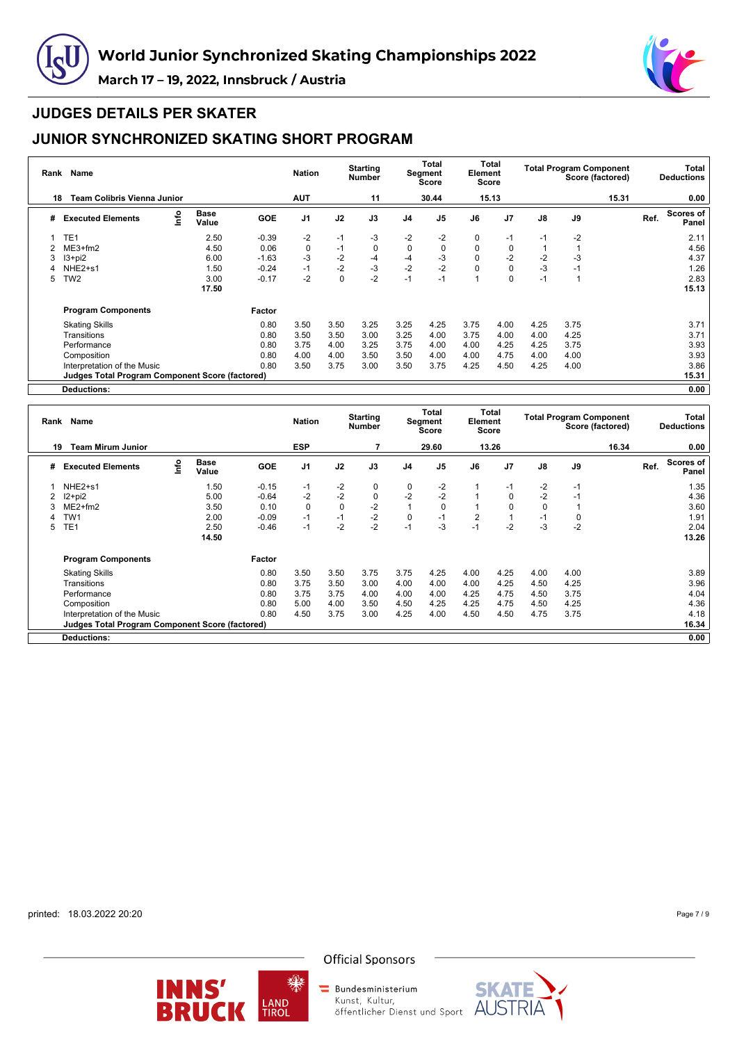



### **JUDGES DETAILS PER SKATER**

## **JUNIOR SYNCHRONIZED SKATING SHORT PROGRAM**

| <b>Name</b><br>Rank |                                                 |      |                      |            |                |             | <b>Starting</b><br><b>Number</b> |                | Total<br>Segment<br>Score |          | Total<br>Element<br>Score |               | <b>Total Program Component</b><br>Score (factored) |       |      | Total<br><b>Deductions</b> |  |  |
|---------------------|-------------------------------------------------|------|----------------------|------------|----------------|-------------|----------------------------------|----------------|---------------------------|----------|---------------------------|---------------|----------------------------------------------------|-------|------|----------------------------|--|--|
| 18                  | <b>Team Colibris Vienna Junior</b>              |      |                      |            | <b>AUT</b>     |             | 11                               |                | 30.44                     |          | 15.13                     |               |                                                    | 15.31 |      | 0.00                       |  |  |
| #                   | <b>Executed Elements</b>                        | lnfo | <b>Base</b><br>Value | <b>GOE</b> | J <sub>1</sub> | J2          | J3                               | J <sub>4</sub> | J <sub>5</sub>            | J6       | J <sub>7</sub>            | $\mathsf{J}8$ | J9                                                 |       | Ref. | <b>Scores of</b><br>Panel  |  |  |
|                     | TE <sub>1</sub>                                 |      | 2.50                 | $-0.39$    | $-2$           | $-1$        | $-3$                             | $-2$           | $-2$                      | 0        | -1                        | $-1$          | $-2$                                               |       |      | 2.11                       |  |  |
|                     | $ME3+fm2$                                       |      | 4.50                 | 0.06       | $\mathbf 0$    | $-1$        | 0                                | $\mathbf 0$    | 0                         | $\Omega$ | 0                         |               |                                                    |       |      | 4.56                       |  |  |
| 3                   | $13 + pi2$                                      |      | 6.00                 | $-1.63$    | $-3$           | $-2$        | $-4$                             | $-4$           | -3                        | 0        | -2                        | $-2$          | -3                                                 |       |      | 4.37                       |  |  |
|                     | NHE <sub>2+s1</sub>                             |      | 1.50                 | $-0.24$    | $-1$           | $-2$        | $-3$                             | $-2$           | $-2$                      |          | 0                         | $-3$          | $-1$                                               |       |      | 1.26                       |  |  |
| 5                   | TW <sub>2</sub>                                 |      | 3.00                 | $-0.17$    | $-2$           | $\mathbf 0$ | $-2$                             | $-1$           | $-1$                      |          | 0                         | $-1$          | 1                                                  |       |      | 2.83                       |  |  |
|                     |                                                 |      | 17.50                |            |                |             |                                  |                |                           |          |                           |               |                                                    |       |      | 15.13                      |  |  |
|                     | <b>Program Components</b>                       |      |                      | Factor     |                |             |                                  |                |                           |          |                           |               |                                                    |       |      |                            |  |  |
|                     | <b>Skating Skills</b>                           |      |                      | 0.80       | 3.50           | 3.50        | 3.25                             | 3.25           | 4.25                      | 3.75     | 4.00                      | 4.25          | 3.75                                               |       |      | 3.71                       |  |  |
|                     | Transitions                                     |      |                      | 0.80       | 3.50           | 3.50        | 3.00                             | 3.25           | 4.00                      | 3.75     | 4.00                      | 4.00          | 4.25                                               |       |      | 3.71                       |  |  |
|                     | Performance                                     |      |                      | 0.80       | 3.75           | 4.00        | 3.25                             | 3.75           | 4.00                      | 4.00     | 4.25                      | 4.25          | 3.75                                               |       |      | 3.93                       |  |  |
|                     | Composition                                     |      |                      | 0.80       | 4.00           | 4.00        | 3.50                             | 3.50           | 4.00                      | 4.00     | 4.75                      | 4.00          | 4.00                                               |       |      | 3.93                       |  |  |
|                     | Interpretation of the Music                     |      |                      | 0.80       | 3.50           | 3.75        | 3.00                             | 3.50           | 3.75                      | 4.25     | 4.50                      | 4.25          | 4.00                                               |       |      | 3.86                       |  |  |
|                     | Judges Total Program Component Score (factored) |      |                      |            |                |             |                                  |                |                           |          |                           |               |                                                    |       |      | 15.31                      |  |  |
|                     | Deductions:                                     |      |                      |            |                |             |                                  |                |                           |          |                           |               |                                                    |       |      | 0.00                       |  |  |

**Rank Name Nation Starting Number Total Segment Score Total Element Score Total Program Component Score (factored) Total Deductions 19 Team Mirum Junior ESP 7 29.60 13.26 16.34 0.00 # Executed Elements Info Base Value GOE J1 J2 J3 J4 J5 J6 J7 J8 J9 Ref. Scores of Panel** 1 NHE2+s1 1.50 -0.15 -1 -2 0 0 -2 1 -1 -2 -1 1.35 2 I2+pi2 5.00 -0.64 -2 -2 0 -2 -2 1 0 -2 -1 4.36 3 ME2+fm2 3.50 0.10 0 0 -2 1 0 1 0 0 1 3.60 4 TW1 2.00 -0.09 -1 -1 -2 0 -1 2 1 -1 0 1.91 5 TE1 2.50 -0.46 -1 -2 -2 -1 -3 -1 -2 -3 -2 2.04 **14.50 13.26 Program Components Factor** Skating Skills 0.80 3.50 3.50 3.75 3.75 4.25 4.00 4.25 4.00 4.00 3.89 Transitions 0.80 3.75 3.50 3.00 4.00 4.00 4.00 4.25 4.50 4.25 3.96 Performance 0.80 3.75 3.75 4.00 4.00 4.00 4.25 4.75 4.50 3.75 4.04 Composition 0.80 5.00 4.00 3.50 4.50 4.25 4.25 4.75 4.50 4.25 4.36 Interpretation of the Music 0.80 4.50 3.75 3.00 4.25 4.00 4.50 4.50 4.75 3.75 4.18 **Judges Total Program Component Score (factored) 16.34 Deductions: 0.00**

printed: 18.03.2022 20:20

Page 7 / 9





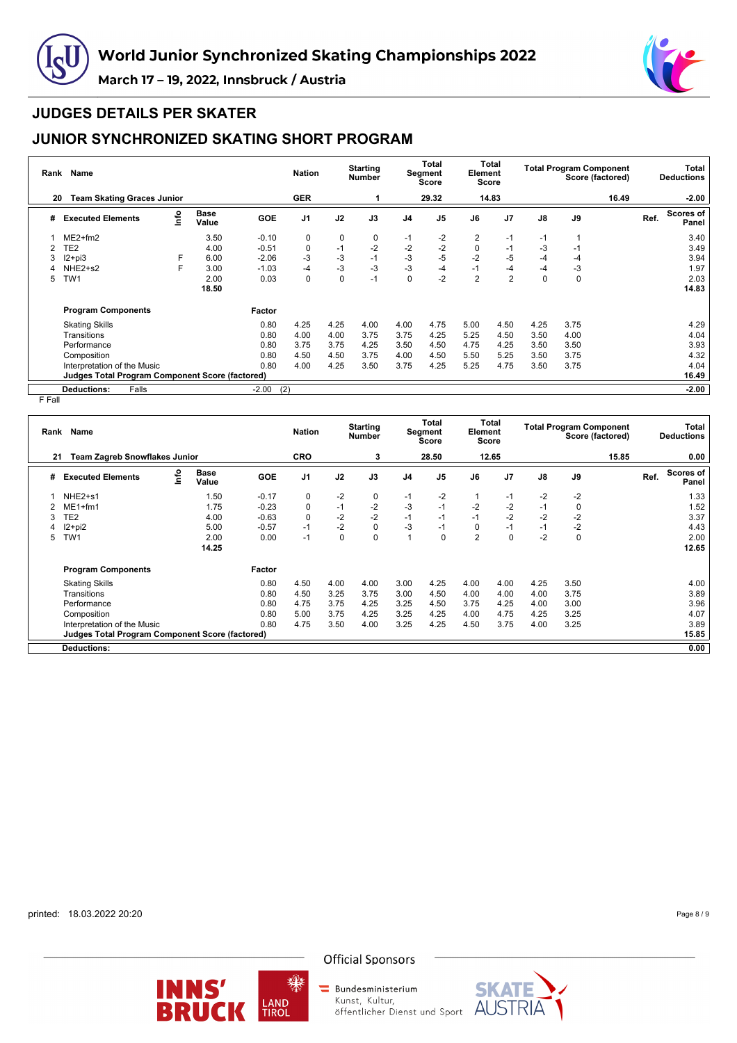



### **JUDGES DETAILS PER SKATER**

## **JUNIOR SYNCHRONIZED SKATING SHORT PROGRAM**

| Rank | Name                                                   | <b>Nation</b> |                      | <b>Starting</b><br><b>Number</b> | Total<br>Segment<br>Score |      | Total<br>Element<br>Score |                | <b>Total Program Component</b><br>Score (factored) |                |                | Total<br><b>Deductions</b> |             |       |      |                           |
|------|--------------------------------------------------------|---------------|----------------------|----------------------------------|---------------------------|------|---------------------------|----------------|----------------------------------------------------|----------------|----------------|----------------------------|-------------|-------|------|---------------------------|
| 20   | <b>Team Skating Graces Junior</b>                      |               |                      |                                  | <b>GER</b>                |      |                           |                | 29.32                                              |                | 14.83          |                            |             | 16.49 |      | $-2.00$                   |
| #    | <b>Executed Elements</b>                               | Info          | <b>Base</b><br>Value | <b>GOE</b>                       | J <sub>1</sub>            | J2   | J3                        | J <sub>4</sub> | J <sub>5</sub>                                     | J6             | J <sub>7</sub> | J8                         | J9          |       | Ref. | <b>Scores of</b><br>Panel |
|      | $ME2+fm2$                                              |               | 3.50                 | $-0.10$                          | 0                         | 0    | 0                         | $-1$           | $-2$                                               | 2              | $-1$           | $-1$                       | 1           |       |      | 3.40                      |
|      | TE2                                                    |               | 4.00                 | $-0.51$                          | 0                         | $-1$ | $-2$                      | $-2$           | $-2$                                               | $\Omega$       | $-1$           | -3                         | $-1$        |       |      | 3.49                      |
| 3    | $12 + pi3$                                             | F             | 6.00                 | $-2.06$                          | $-3$                      | $-3$ | $-1$                      | $-3$           | $-5$                                               | $-2$           | $-5$           | $-4$                       | $-4$        |       |      | 3.94                      |
|      | NHE <sub>2+s2</sub>                                    | F             | 3.00                 | $-1.03$                          | $-4$                      | -3   | $-3$                      | $-3$           | $-4$                                               | $-1$           | -4             | $-4$                       | -3          |       |      | 1.97                      |
| 5    | TW <sub>1</sub>                                        |               | 2.00                 | 0.03                             | 0                         | 0    | $-1$                      | $\mathbf 0$    | $-2$                                               | $\overline{2}$ | $\overline{2}$ | $\mathbf 0$                | $\mathbf 0$ |       |      | 2.03                      |
|      |                                                        |               | 18.50                |                                  |                           |      |                           |                |                                                    |                |                |                            |             |       |      | 14.83                     |
|      | <b>Program Components</b>                              |               |                      | Factor                           |                           |      |                           |                |                                                    |                |                |                            |             |       |      |                           |
|      | <b>Skating Skills</b>                                  |               |                      | 0.80                             | 4.25                      | 4.25 | 4.00                      | 4.00           | 4.75                                               | 5.00           | 4.50           | 4.25                       | 3.75        |       |      | 4.29                      |
|      | Transitions                                            |               |                      | 0.80                             | 4.00                      | 4.00 | 3.75                      | 3.75           | 4.25                                               | 5.25           | 4.50           | 3.50                       | 4.00        |       |      | 4.04                      |
|      | Performance                                            |               |                      | 0.80                             | 3.75                      | 3.75 | 4.25                      | 3.50           | 4.50                                               | 4.75           | 4.25           | 3.50                       | 3.50        |       |      | 3.93                      |
|      | Composition                                            |               |                      | 0.80                             | 4.50                      | 4.50 | 3.75                      | 4.00           | 4.50                                               | 5.50           | 5.25           | 3.50                       | 3.75        |       |      | 4.32                      |
|      | Interpretation of the Music                            |               |                      | 0.80                             | 4.00                      | 4.25 | 3.50                      | 3.75           | 4.25                                               | 5.25           | 4.75           | 3.50                       | 3.75        |       |      | 4.04                      |
|      | <b>Judges Total Program Component Score (factored)</b> |               |                      |                                  |                           |      |                           |                |                                                    |                |                |                            |             |       |      | 16.49                     |
|      | Falls<br><b>Deductions:</b>                            |               |                      | $-2.00$                          | (2)                       |      |                           |                |                                                    |                |                |                            |             |       |      | $-2.00$                   |

F Fall

|   | Rank Name                                              |      |                      |            |                | <b>Starting</b><br><b>Nation</b><br>Number |      |                | Total<br>Segment<br><b>Score</b> |                | Total<br>Element<br>Score | <b>Total Program Component</b><br>Score (factored) |             |       | Total<br><b>Deductions</b> |                           |  |
|---|--------------------------------------------------------|------|----------------------|------------|----------------|--------------------------------------------|------|----------------|----------------------------------|----------------|---------------------------|----------------------------------------------------|-------------|-------|----------------------------|---------------------------|--|
|   | <b>Team Zagreb Snowflakes Junior</b><br>21             |      |                      |            | <b>CRO</b>     |                                            | 3    |                | 28.50                            |                | 12.65                     |                                                    |             | 15.85 |                            | 0.00                      |  |
| # | <b>Executed Elements</b>                               | ١nf٥ | <b>Base</b><br>Value | <b>GOE</b> | J <sub>1</sub> | J2                                         | J3   | J <sub>4</sub> | J <sub>5</sub>                   | J6             | J <sub>7</sub>            | J8                                                 | J9          |       | Ref.                       | <b>Scores of</b><br>Panel |  |
|   | NHE <sub>2+s1</sub>                                    |      | 1.50                 | $-0.17$    | 0              | $-2$                                       | 0    | $-1$           | $-2$                             |                | $-1$                      | $-2$                                               | $-2$        |       |                            | 1.33                      |  |
|   | $ME1 + fm1$                                            |      | 1.75                 | $-0.23$    | $\mathbf 0$    | $-1$                                       | $-2$ | -3             | $-1$                             | $-2$           | $-2$                      | $-1$                                               | $\mathbf 0$ |       |                            | 1.52                      |  |
| 3 | TE <sub>2</sub>                                        |      | 4.00                 | $-0.63$    | $\mathbf 0$    | $-2$                                       | $-2$ | $-1$           | $-1$                             | $-1$           | $-2$                      | $-2$                                               | $-2$        |       |                            | 3.37                      |  |
|   | $12+pi2$                                               |      | 5.00                 | $-0.57$    | $-1$           | $-2$                                       | 0    | $-3$           | $-1$                             | $\Omega$       | $-1$                      | $-1$                                               | $-2$        |       |                            | 4.43                      |  |
| 5 | TW <sub>1</sub>                                        |      | 2.00                 | 0.00       | $-1$           | $\mathbf 0$                                | 0    |                | $\Omega$                         | $\overline{2}$ | $\Omega$                  | $-2$                                               | $\mathbf 0$ |       |                            | 2.00                      |  |
|   |                                                        |      | 14.25                |            |                |                                            |      |                |                                  |                |                           |                                                    |             |       |                            | 12.65                     |  |
|   | <b>Program Components</b>                              |      |                      | Factor     |                |                                            |      |                |                                  |                |                           |                                                    |             |       |                            |                           |  |
|   | <b>Skating Skills</b>                                  |      |                      | 0.80       | 4.50           | 4.00                                       | 4.00 | 3.00           | 4.25                             | 4.00           | 4.00                      | 4.25                                               | 3.50        |       |                            | 4.00                      |  |
|   | Transitions                                            |      |                      | 0.80       | 4.50           | 3.25                                       | 3.75 | 3.00           | 4.50                             | 4.00           | 4.00                      | 4.00                                               | 3.75        |       |                            | 3.89                      |  |
|   | Performance                                            |      |                      | 0.80       | 4.75           | 3.75                                       | 4.25 | 3.25           | 4.50                             | 3.75           | 4.25                      | 4.00                                               | 3.00        |       |                            | 3.96                      |  |
|   | Composition                                            |      |                      | 0.80       | 5.00           | 3.75                                       | 4.25 | 3.25           | 4.25                             | 4.00           | 4.75                      | 4.25                                               | 3.25        |       |                            | 4.07                      |  |
|   | Interpretation of the Music                            |      |                      | 0.80       | 4.75           | 3.50                                       | 4.00 | 3.25           | 4.25                             | 4.50           | 3.75                      | 4.00                                               | 3.25        |       |                            | 3.89                      |  |
|   | <b>Judges Total Program Component Score (factored)</b> |      |                      |            |                |                                            |      |                |                                  |                |                           |                                                    |             |       |                            | 15.85                     |  |
|   | <b>Deductions:</b>                                     |      |                      |            |                |                                            |      |                |                                  |                |                           |                                                    |             |       |                            | 0.00                      |  |

printed: 18.03.2022 20:20

Page 8 / 9



缫

#### **Official Sponsors**